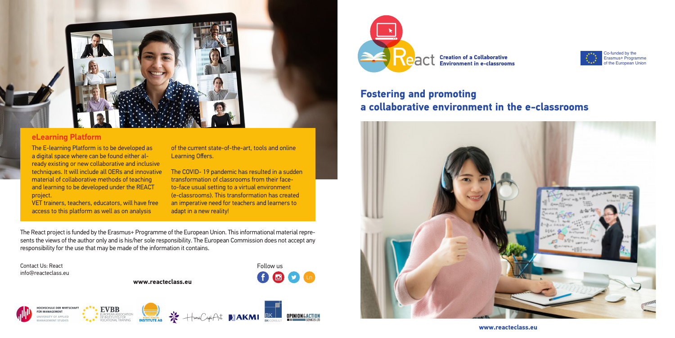The E-learning Platform is to be developed as a digital space where can be found either already existing or new collaborative and inclusive techniques. It will include all OERs and innovative material of collaborative methods of teaching and learning to be developed under the REACT project.

VET trainers, teachers, educators, will have free access to this platform as well as on analysis

Co-funded by the Erasmus+ Programme he European Union

of the current state-of-the-art, tools and online Learning Offers.

The COVID- 19 pandemic has resulted in a sudden transformation of classrooms from their faceto-face usual setting to a virtual environment (e-classrooms). This transformation has created an imperative need for teachers and learners to adapt in a new reality!

# **Fostering and promoting a collaborative environment in the e-classrooms**



**www.reacteclass.eu** 





#### **eLearning Platform**

**IANAGEMENT STUDIES** 

The React project is funded by the Erasmus+ Programme of the European Union. This informational material represents the views of the author only and is his/her sole responsibility. The European Commission does not accept any responsibility for the use that may be made of the information it contains.

Contact Us: React Follow us info@reacteclass.eu 600m **www.reacteclass.eu** HOCHSCHULE DER WIRTSCHAFT **EVBB FÜR MANAGEMENT P.AKMI** BK **PINION SACTION INIVERSITY OF APPLIED** NORDIC HORIZON<br>**INSTITUTE AB**